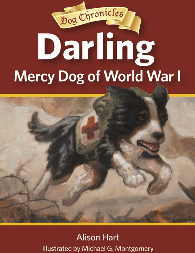



**Alison Hart Illustrated by Michael G. Montgomery**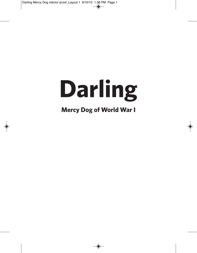Darling Mercy Dog interior proof\_Layout 1 6/10/13 1:38 PM Page 1

# **Darling**

## **Mercy Dog of World War I**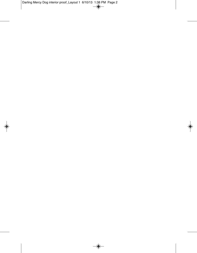Darling Mercy Dog interior proof\_Layout 1 6/10/13 1:38 PM Page 2<br>
-

◈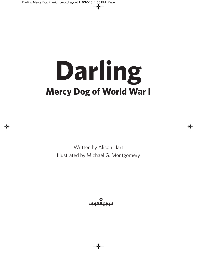Darling Mercy Dog interior proof\_Layout 1 6/10/13 1:38 PM Page i

# **Darling Mercy Dog of World War I**

Written by Alison Hart Illustrated by Michael G. Montgomery

'REE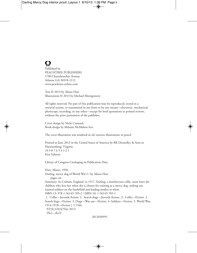Darling Mercy Dog interior proof\_Layout 1 6/10/13 1:38 PM Page ii

#### $\Omega$

Published by PEACHTREE PUBLISHERS 1700 Chattahoochee Avenue Atlanta, GA 30318-2112 www.peachtree-online.com

Text © 2013 by Alison Hart Illustrations © 2013 by Michael Montgomery

All rights reserved. No part of this publication may be reproduced, stored in a retrieval system, or transmitted in any form or by any means—electronic, mechanical, photocopy, recording, or any other—except for brief quotations in printed reviews, without the prior permission of the publisher.

Cover design by Nicki Carmack Book design by Melanie McMahon Ives

The cover illustration was rendered in oil; interior illustrations in pencil

Printed in June 2013 in the United States of America by RR Donnelley & Sons in Harrisonburg, Virginia 10 9 8 7 6 5 4 3 2 1 First Edition

Library of Congress Cataloging-in-Publication Data

Hart, Alison, 1950- Darling, mercy dog of World War I / by Alison Hart. pages cm Summary: In Cosham, England, in 1917, Darling, a mischievous collie, must leave the children who love her when she is chosen for training as a mercy dog, seeking out injured soldiers on the battlefield and leading medics to them. ISBN-13: 978-1-56145-705-2 / ISBN-10: 1-56145-705-1 1. Collie—Juvenile fiction. 2. Search dogs—Juvenile fiction. [1. Collie—Fiction. 2. Search dogs—Fiction. 3. Dogs—War use—Fiction. 4. Soldiers—Fiction. 5. World War, 1914-1918—Fiction.] I. Title. PZ10.3.H247Dar 2013 [Fic]—dc23

2012050991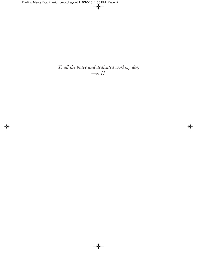*To all the brave and dedicated working dogs —A.H.*

◈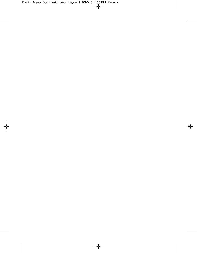Darling Mercy Dog interior proof\_Layout 1 6/10/13 1:38 PM Page iv<br>  $\bigcirc$ 

◈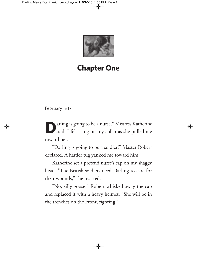Darling Mercy Dog interior proof\_Layout 1 6/10/13 1:38 PM Page 1



### **Chapter One**

February 1917

arling is going to be a nurse," Mistress Katherine said. I felt a tug on my collar as she pulled me toward her.

"Darling is going to be a soldier!" Master Robert declared. A harder tug yanked me toward him.

Katherine set a pretend nurse's cap on my shaggy head. "The British soldiers need Darling to care for their wounds," she insisted.

"No, silly goose." Robert whisked away the cap and replaced it with a heavy helmet. "She will be in the trenches on the Front, fighting."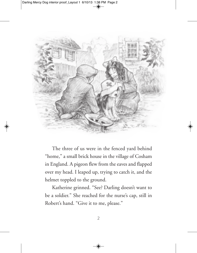Darling Mercy Dog interior proof\_Layout 1 6/10/13 1:38 PM Page 2



The three of us were in the fenced yard behind "home," a small brick house in the village of Cosham in England. A pigeon flew from the eaves and flapped over my head. I leaped up, trying to catch it, and the helmet toppled to the ground.

Katherine grinned. "See? Darling doesn't want to be a soldier." She reached for the nurse's cap, still in Robert's hand. "Give it to me, please."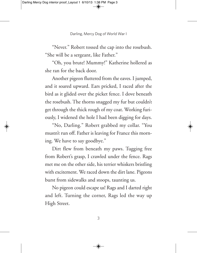Darling, Mercy Dog of World War I

"Never." Robert tossed the cap into the rosebush. "She will be a sergeant, like Father."

"Oh, you brute! Mummy!" Katherine hollered as she ran for the back door.

Another pigeon fluttered from the eaves. I jumped, and it soared upward. Ears pricked, I raced after the bird as it glided over the picket fence. I dove beneath the rosebush. The thorns snagged my fur but couldn't get through the thick rough of my coat. Working furiously, I widened the hole I had been digging for days.

"No, Darling." Robert grabbed my collar. "You mustn't run off. Father is leaving for France this morning. We have to say goodbye."

Dirt flew from beneath my paws. Tugging free from Robert's grasp, I crawled under the fence. Rags met me on the other side, his terrier whiskers bristling with excitement. We raced down the dirt lane. Pigeons burst from sidewalks and stoops, taunting us.

No pigeon could escape us! Rags and I darted right and left. Turning the corner, Rags led the way up High Street.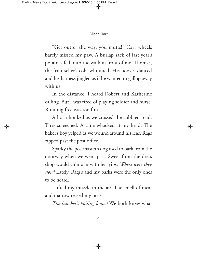#### Alison Hart

"Get outter the way, you mutts!" Cart wheels barely missed my paw. A burlap sack of last year's potatoes fell onto the walk in front of me. Thomas, the fruit seller's cob, whinnied. His hooves danced and his harness jingled as if he wanted to gallop away with us.

In the distance, I heard Robert and Katherine calling. But I was tired of playing soldier and nurse. Running free was too fun.

A horn honked as we crossed the cobbled road. Tires screeched. A cane whacked at my head. The baker's boy yelped as we wound around his legs. Rags zipped past the post office.

Sparky the postmaster's dog used to bark from the doorway when we went past. Sweet from the dress shop would chime in with her yips. *Where were they now?* Lately, Rags's and my barks were the only ones to be heard.

I lifted my muzzle in the air. The smell of meat and marrow teased my nose.

*The butcher's boiling bones!* We both knew what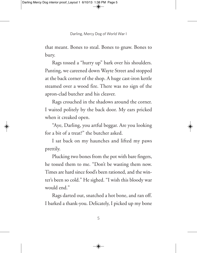Darling, Mercy Dog of World War I

that meant. Bones to steal. Bones to gnaw. Bones to bury.

Rags tossed a "hurry up" bark over his shoulders. Panting, we careened down Wayte Street and stopped at the back corner of the shop. A huge cast-iron kettle steamed over a wood fire. There was no sign of the apron-clad butcher and his cleaver.

Rags crouched in the shadows around the corner. I waited politely by the back door. My ears pricked when it creaked open.

"Aye, Darling, you artful beggar. Are you looking for a bit of a treat?" the butcher asked.

I sat back on my haunches and lifted my paws prettily.

Plucking two bones from the pot with bare fingers, he tossed them to me. "Don't be wasting them now. Times are hard since food's been rationed, and the winter's been so cold." He sighed. "I wish this bloody war would end."

Rags darted out, snatched a hot bone, and ran off. I barked a thank-you. Delicately, I picked up my bone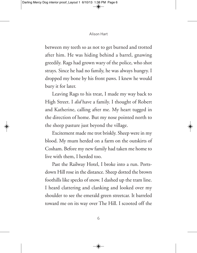#### Alison Hart

between my teeth so as not to get burned and trotted after him. He was hiding behind a barrel, gnawing greedily. Rags had grown wary of the police, who shot strays. Since he had no family, he was always hungry. I dropped my bone by his front paws. I knew he would bury it for later.

Leaving Rags to his treat, I made my way back to High Street. I *did* have a family. I thought of Robert and Katherine, calling after me. My heart tugged in the direction of home. But my nose pointed north to the sheep pasture just beyond the village.

Excitement made me trot briskly. Sheep were in my blood. My mum herded on a farm on the outskirts of Cosham. Before my new family had taken me home to live with them, I herded too.

Past the Railway Hotel, I broke into a run. Portsdown Hill rose in the distance. Sheep dotted the brown foothills like specks of snow. I dashed up the tram line. I heard clattering and clanking and looked over my shoulder to see the emerald green streetcar. It barreled toward me on its way over The Hill. I scooted off the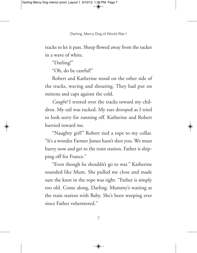Darling, Mercy Dog of World War I

tracks to let it pass. Sheep flowed away from the racket in a wave of white.

"Darling!"

"Oh, do be careful!"

Robert and Katherine stood on the other side of the tracks, waving and shouting. They had put on mittens and caps against the cold.

*Caught!* I trotted over the tracks toward my children. My tail was tucked. My ears drooped as I tried to look sorry for running off. Katherine and Robert hurried toward me.

"Naughty girl!" Robert tied a rope to my collar. "It's a wonder Farmer James hasn't shot you. We must hurry now and get to the train station. Father is shipping off for France."

"Even though he shouldn't go to war." Katherine sounded like Mum. She pulled me close and made sure the knot in the rope was tight. "Father is simply too old. Come along, Darling. Mummy's waiting at the train station with Baby. She's been weeping ever since Father volunteered."